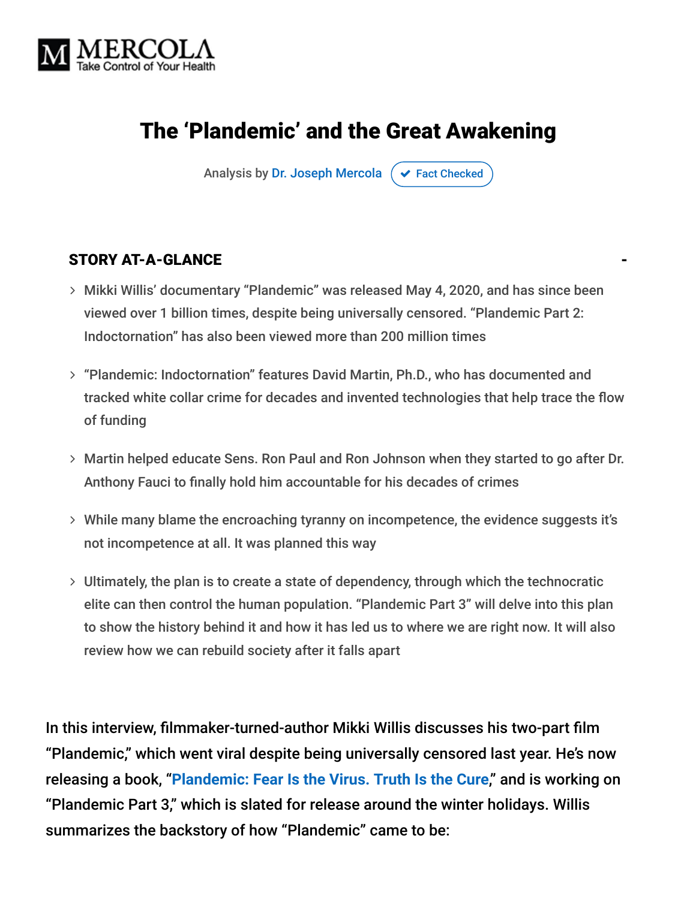

### The 'Plandemic' and the Great Awakening

Analysis by [Dr. Joseph Mercola](https://www.mercola.com/forms/background.htm)  $\sigma$  [Fact Checked](javascript:void(0))

#### STORY AT-A-GLANCE

- Mikki Willis' documentary "Plandemic" was released May 4, 2020, and has since been viewed over 1 billion times, despite being universally censored. "Plandemic Part 2: Indoctornation" has also been viewed more than 200 million times
- "Plandemic: Indoctornation" features David Martin, Ph.D., who has documented and tracked white collar crime for decades and invented technologies that help trace the flow of funding
- Martin helped educate Sens. Ron Paul and Ron Johnson when they started to go after Dr. Anthony Fauci to finally hold him accountable for his decades of crimes
- While many blame the encroaching tyranny on incompetence, the evidence suggests it's not incompetence at all. It was planned this way
- Ultimately, the plan is to create a state of dependency, through which the technocratic elite can then control the human population. "Plandemic Part 3" will delve into this plan to show the history behind it and how it has led us to where we are right now. It will also review how we can rebuild society after it falls apart

In this interview, filmmaker-turned-author Mikki Willis discusses his two-part film "Plandemic," which went viral despite being universally censored last year. He's now releasing a book, "**[Plandemic: Fear Is the Virus. Truth Is the Cure](https://www.amazon.com/Plandemic-Fear-Virus-Truth-Cure/dp/1510765549)**," and is working on "Plandemic Part 3," which is slated for release around the winter holidays. Willis summarizes the backstory of how "Plandemic" came to be: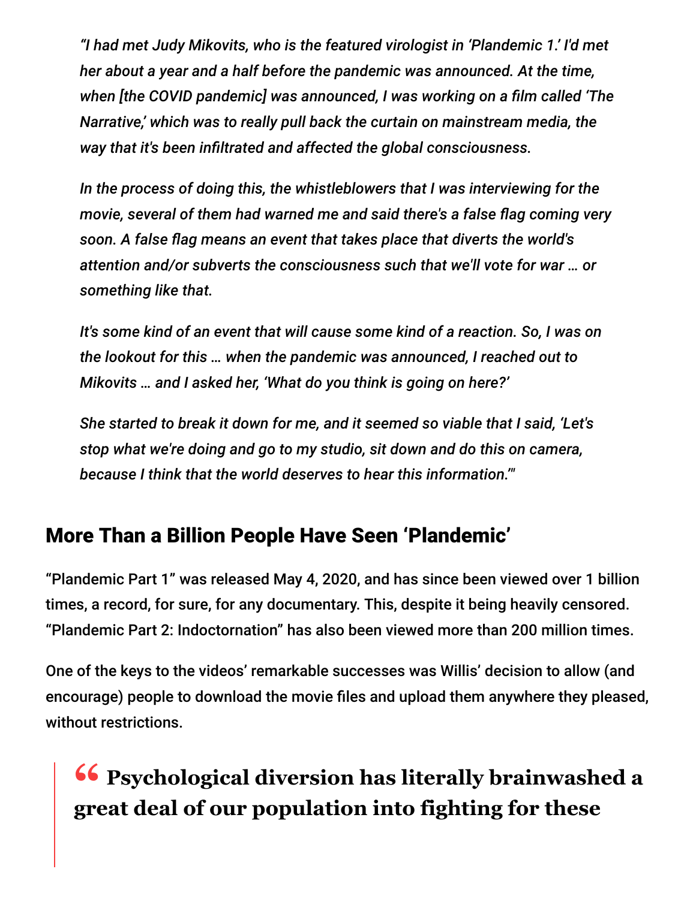*"I had met Judy Mikovits, who is the featured virologist in 'Plandemic 1.' I'd met her about a year and a half before the pandemic was announced. At the time, when [the COVID pandemic] was announced, I was working on a film called 'The Narrative,' which was to really pull back the curtain on mainstream media, the way that it's been infiltrated and affected the global consciousness.*

*In the process of doing this, the whistleblowers that I was interviewing for the movie, several of them had warned me and said there's a false flag coming very soon. A false flag means an event that takes place that diverts the world's attention and/or subverts the consciousness such that we'll vote for war … or something like that.*

*It's some kind of an event that will cause some kind of a reaction. So, I was on the lookout for this … when the pandemic was announced, I reached out to Mikovits … and I asked her, 'What do you think is going on here?'*

*She started to break it down for me, and it seemed so viable that I said, 'Let's stop what we're doing and go to my studio, sit down and do this on camera, because I think that the world deserves to hear this information.'"*

#### More Than a Billion People Have Seen 'Plandemic'

"Plandemic Part 1" was released May 4, 2020, and has since been viewed over 1 billion times, a record, for sure, for any documentary. This, despite it being heavily censored. "Plandemic Part 2: Indoctornation" has also been viewed more than 200 million times.

One of the keys to the videos' remarkable successes was Willis' decision to allow (and encourage) people to download the movie files and upload them anywhere they pleased, without restrictions.

## **<sup>66</sup>** Psychological diversion has literally brainwashed a<br> **The orange of our population into fighting for these great deal of our population into fighting for these**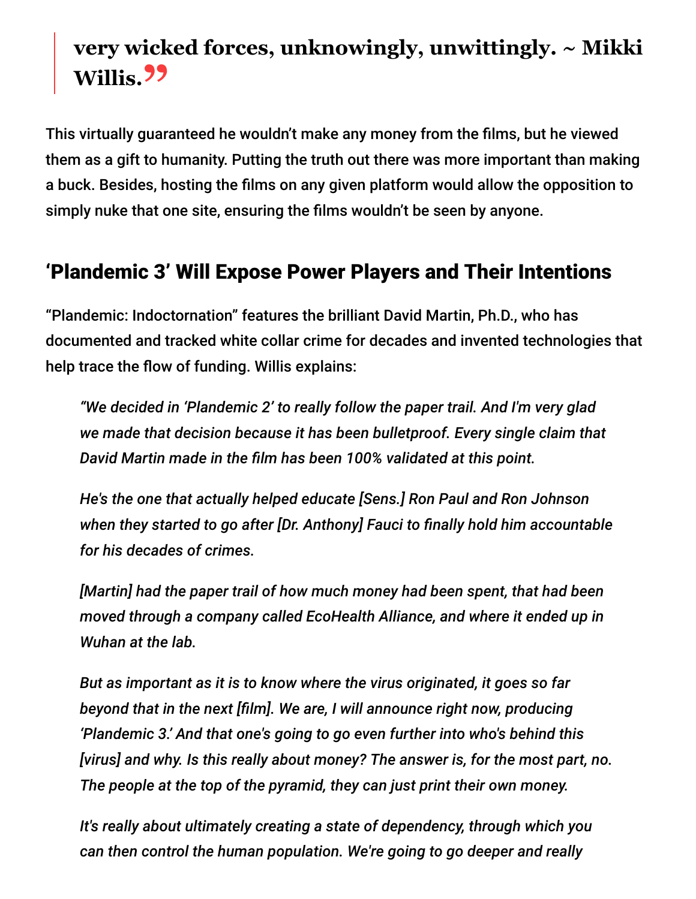# **very wicked forces, unknowingly, unwittingly. ~ Mikki Willis."**

This virtually guaranteed he wouldn't make any money from the films, but he viewed them as a gift to humanity. Putting the truth out there was more important than making a buck. Besides, hosting the films on any given platform would allow the opposition to simply nuke that one site, ensuring the films wouldn't be seen by anyone.

#### 'Plandemic 3' Will Expose Power Players and Their Intentions

"Plandemic: Indoctornation" features the brilliant David Martin, Ph.D., who has documented and tracked white collar crime for decades and invented technologies that help trace the flow of funding. Willis explains:

*"We decided in 'Plandemic 2' to really follow the paper trail. And I'm very glad we made that decision because it has been bulletproof. Every single claim that David Martin made in the film has been 100% validated at this point.*

*He's the one that actually helped educate [Sens.] Ron Paul and Ron Johnson when they started to go after [Dr. Anthony] Fauci to finally hold him accountable for his decades of crimes.*

*[Martin] had the paper trail of how much money had been spent, that had been moved through a company called EcoHealth Alliance, and where it ended up in Wuhan at the lab.*

*But as important as it is to know where the virus originated, it goes so far beyond that in the next [film]. We are, I will announce right now, producing 'Plandemic 3.' And that one's going to go even further into who's behind this [virus] and why. Is this really about money? The answer is, for the most part, no. The people at the top of the pyramid, they can just print their own money.*

*It's really about ultimately creating a state of dependency, through which you can then control the human population. We're going to go deeper and really*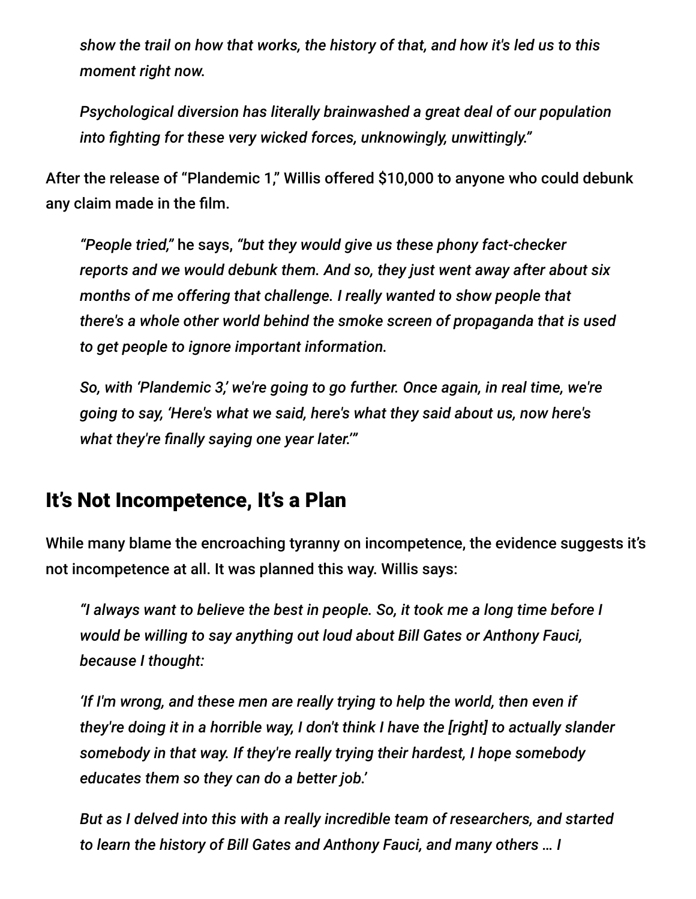*show the trail on how that works, the history of that, and how it's led us to this moment right now.*

*Psychological diversion has literally brainwashed a great deal of our population into fighting for these very wicked forces, unknowingly, unwittingly."*

After the release of "Plandemic 1," Willis offered \$10,000 to anyone who could debunk any claim made in the film.

*"People tried,"* he says, *"but they would give us these phony fact-checker reports and we would debunk them. And so, they just went away after about six months of me offering that challenge. I really wanted to show people that there's a whole other world behind the smoke screen of propaganda that is used to get people to ignore important information.*

*So, with 'Plandemic 3,' we're going to go further. Once again, in real time, we're going to say, 'Here's what we said, here's what they said about us, now here's what they're finally saying one year later.'"*

#### It's Not Incompetence, It's a Plan

While many blame the encroaching tyranny on incompetence, the evidence suggests it's not incompetence at all. It was planned this way. Willis says:

*"I always want to believe the best in people. So, it took me a long time before I would be willing to say anything out loud about Bill Gates or Anthony Fauci, because I thought:*

*'If I'm wrong, and these men are really trying to help the world, then even if they're doing it in a horrible way, I don't think I have the [right] to actually slander somebody in that way. If they're really trying their hardest, I hope somebody educates them so they can do a better job.'*

*But as I delved into this with a really incredible team of researchers, and started to learn the history of Bill Gates and Anthony Fauci, and many others … I*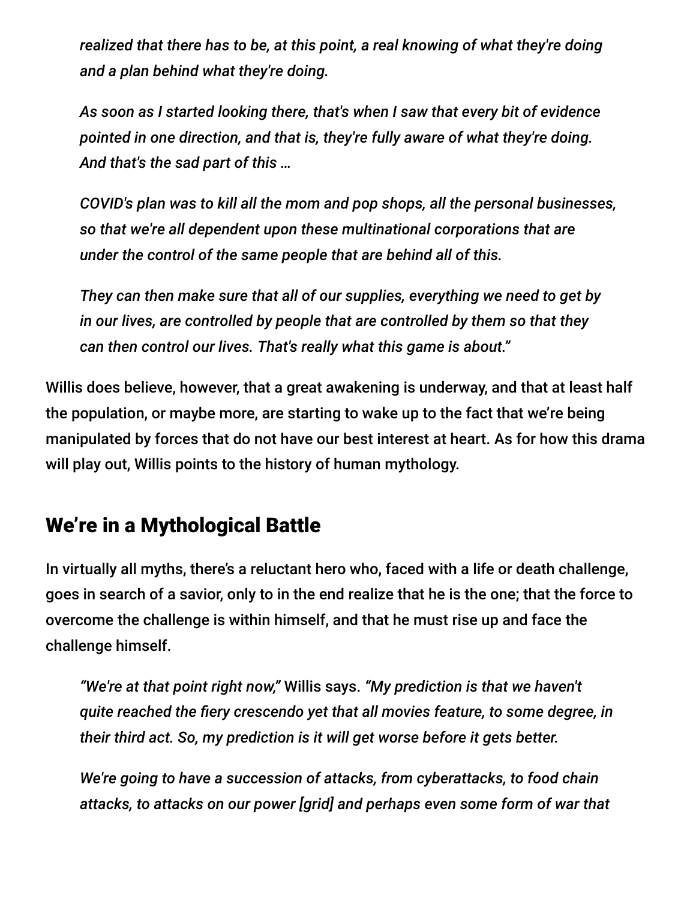*realized that there has to be, at this point, a real knowing of what they're doing and a plan behind what they're doing.*

*As soon as I started looking there, that's when I saw that every bit of evidence pointed in one direction, and that is, they're fully aware of what they're doing. And that's the sad part of this …*

*COVID's plan was to kill all the mom and pop shops, all the personal businesses, so that we're all dependent upon these multinational corporations that are under the control of the same people that are behind all of this.*

*They can then make sure that all of our supplies, everything we need to get by in our lives, are controlled by people that are controlled by them so that they can then control our lives. That's really what this game is about."*

Willis does believe, however, that a great awakening is underway, and that at least half the population, or maybe more, are starting to wake up to the fact that we're being manipulated by forces that do not have our best interest at heart. As for how this drama will play out, Willis points to the history of human mythology.

#### We're in a Mythological Battle

In virtually all myths, there's a reluctant hero who, faced with a life or death challenge, goes in search of a savior, only to in the end realize that he is the one; that the force to overcome the challenge is within himself, and that he must rise up and face the challenge himself.

*"We're at that point right now,"* Willis says. *"My prediction is that we haven't quite reached the fiery crescendo yet that all movies feature, to some degree, in their third act. So, my prediction is it will get worse before it gets better.*

*We're going to have a succession of attacks, from cyberattacks, to food chain attacks, to attacks on our power [grid] and perhaps even some form of war that*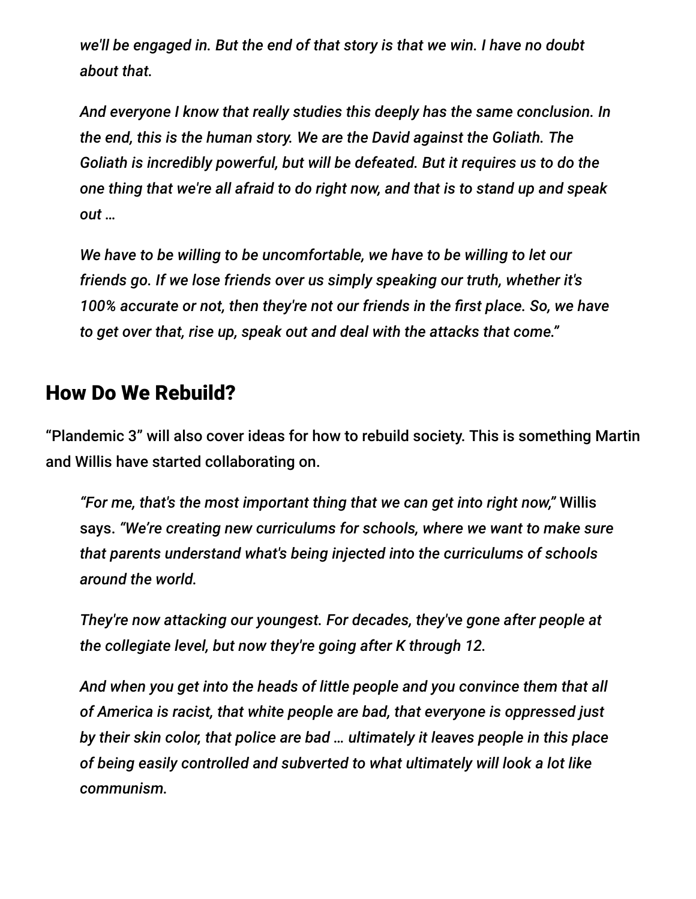*we'll be engaged in. But the end of that story is that we win. I have no doubt about that.*

*And everyone I know that really studies this deeply has the same conclusion. In the end, this is the human story. We are the David against the Goliath. The Goliath is incredibly powerful, but will be defeated. But it requires us to do the one thing that we're all afraid to do right now, and that is to stand up and speak out …*

*We have to be willing to be uncomfortable, we have to be willing to let our friends go. If we lose friends over us simply speaking our truth, whether it's 100% accurate or not, then they're not our friends in the first place. So, we have to get over that, rise up, speak out and deal with the attacks that come."*

#### How Do We Rebuild?

"Plandemic 3" will also cover ideas for how to rebuild society. This is something Martin and Willis have started collaborating on.

*"For me, that's the most important thing that we can get into right now,"* Willis says. *"We're creating new curriculums for schools, where we want to make sure that parents understand what's being injected into the curriculums of schools around the world.*

*They're now attacking our youngest. For decades, they've gone after people at the collegiate level, but now they're going after K through 12.*

*And when you get into the heads of little people and you convince them that all of America is racist, that white people are bad, that everyone is oppressed just by their skin color, that police are bad … ultimately it leaves people in this place of being easily controlled and subverted to what ultimately will look a lot like communism.*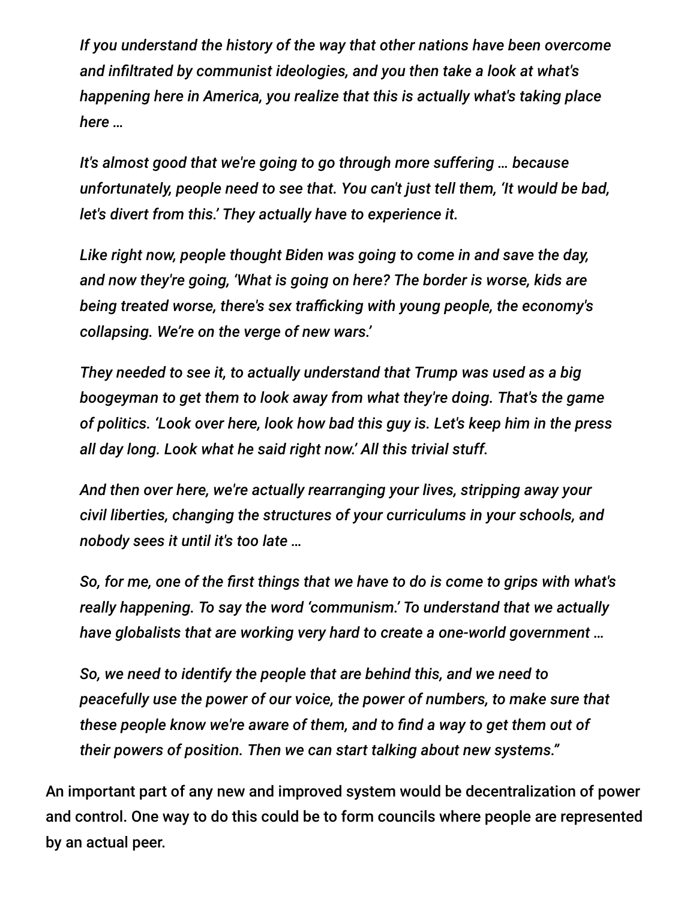*If you understand the history of the way that other nations have been overcome and infiltrated by communist ideologies, and you then take a look at what's happening here in America, you realize that this is actually what's taking place here …*

*It's almost good that we're going to go through more suffering … because unfortunately, people need to see that. You can't just tell them, 'It would be bad, let's divert from this.' They actually have to experience it.*

*Like right now, people thought Biden was going to come in and save the day, and now they're going, 'What is going on here? The border is worse, kids are being treated worse, there's sex trafficking with young people, the economy's collapsing. We're on the verge of new wars.'*

*They needed to see it, to actually understand that Trump was used as a big boogeyman to get them to look away from what they're doing. That's the game of politics. 'Look over here, look how bad this guy is. Let's keep him in the press all day long. Look what he said right now.' All this trivial stuff.*

*And then over here, we're actually rearranging your lives, stripping away your civil liberties, changing the structures of your curriculums in your schools, and nobody sees it until it's too late …*

*So, for me, one of the first things that we have to do is come to grips with what's really happening. To say the word 'communism.' To understand that we actually have globalists that are working very hard to create a one-world government …*

*So, we need to identify the people that are behind this, and we need to peacefully use the power of our voice, the power of numbers, to make sure that these people know we're aware of them, and to find a way to get them out of their powers of position. Then we can start talking about new systems."*

An important part of any new and improved system would be decentralization of power and control. One way to do this could be to form councils where people are represented by an actual peer.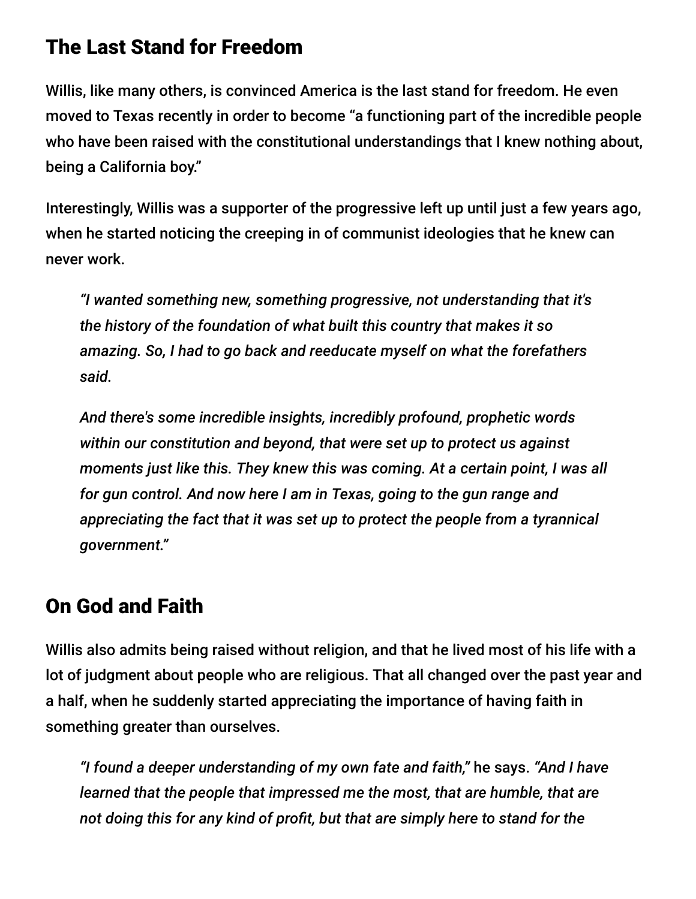#### The Last Stand for Freedom

Willis, like many others, is convinced America is the last stand for freedom. He even moved to Texas recently in order to become "a functioning part of the incredible people who have been raised with the constitutional understandings that I knew nothing about, being a California boy."

Interestingly, Willis was a supporter of the progressive left up until just a few years ago, when he started noticing the creeping in of communist ideologies that he knew can never work.

*"I wanted something new, something progressive, not understanding that it's the history of the foundation of what built this country that makes it so amazing. So, I had to go back and reeducate myself on what the forefathers said.*

*And there's some incredible insights, incredibly profound, prophetic words within our constitution and beyond, that were set up to protect us against moments just like this. They knew this was coming. At a certain point, I was all for gun control. And now here I am in Texas, going to the gun range and appreciating the fact that it was set up to protect the people from a tyrannical government."*

#### On God and Faith

Willis also admits being raised without religion, and that he lived most of his life with a lot of judgment about people who are religious. That all changed over the past year and a half, when he suddenly started appreciating the importance of having faith in something greater than ourselves.

*"I found a deeper understanding of my own fate and faith,"* he says. *"And I have learned that the people that impressed me the most, that are humble, that are not doing this for any kind of profit, but that are simply here to stand for the*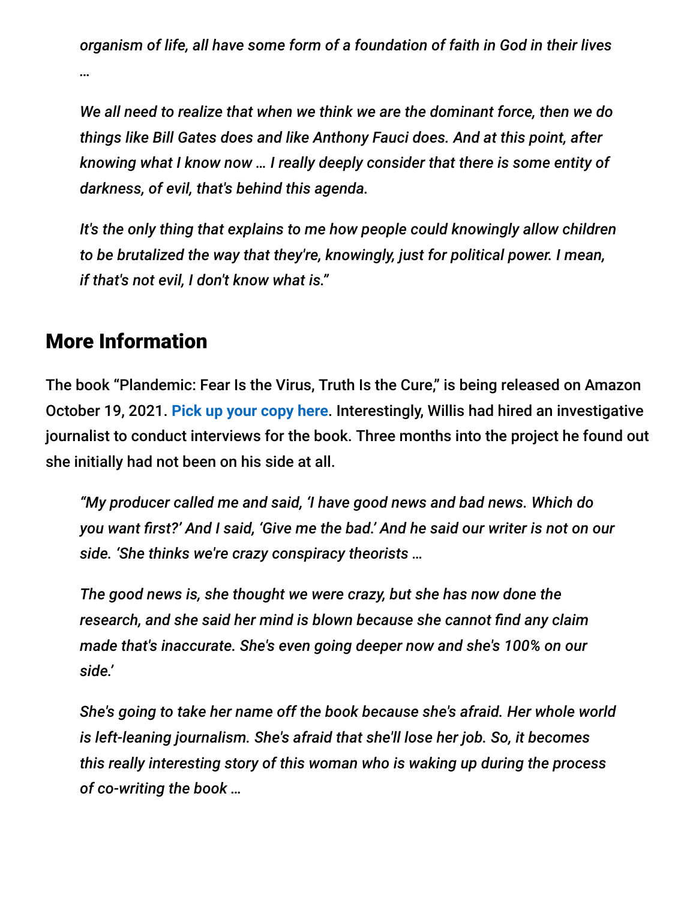*organism of life, all have some form of a foundation of faith in God in their lives …*

*We all need to realize that when we think we are the dominant force, then we do things like Bill Gates does and like Anthony Fauci does. And at this point, after knowing what I know now … I really deeply consider that there is some entity of darkness, of evil, that's behind this agenda.*

*It's the only thing that explains to me how people could knowingly allow children to be brutalized the way that they're, knowingly, just for political power. I mean, if that's not evil, I don't know what is."*

#### More Information

The book "Plandemic: Fear Is the Virus, Truth Is the Cure," is being released on Amazon October 19, 2021. **[Pick up your copy here](https://www.amazon.com/Plandemic-Fear-Virus-Truth-Cure/dp/1510765549)**. Interestingly, Willis had hired an investigative journalist to conduct interviews for the book. Three months into the project he found out she initially had not been on his side at all.

*"My producer called me and said, 'I have good news and bad news. Which do you want first?' And I said, 'Give me the bad.' And he said our writer is not on our side. 'She thinks we're crazy conspiracy theorists …*

*The good news is, she thought we were crazy, but she has now done the research, and she said her mind is blown because she cannot find any claim made that's inaccurate. She's even going deeper now and she's 100% on our side.'*

*She's going to take her name off the book because she's afraid. Her whole world is left-leaning journalism. She's afraid that she'll lose her job. So, it becomes this really interesting story of this woman who is waking up during the process of co-writing the book …*